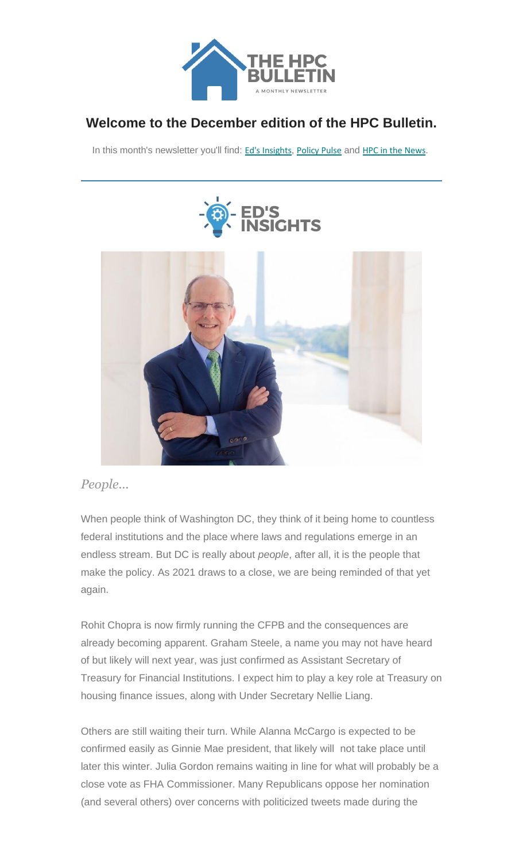

### **Welcome to the December edition of the HPC Bulletin.**

In this month's newsletter you'll find: Ed's Insights, Policy Pulse and HPC in the News.





### *People...*

When people think of Washington DC, they think of it being home to countless federal institutions and the place where laws and regulations emerge in an endless stream. But DC is really about *people*, after all, it is the people that make the policy. As 2021 draws to a close, we are being reminded of that yet again.

Rohit Chopra is now firmly running the CFPB and the consequences are already becoming apparent. Graham Steele, a name you may not have heard of but likely will next year, was just confirmed as Assistant Secretary of Treasury for Financial Institutions. I expect him to play a key role at Treasury on housing finance issues, along with Under Secretary Nellie Liang.

Others are still waiting their turn. While Alanna McCargo is expected to be confirmed easily as Ginnie Mae president, that likely will not take place until later this winter. Julia Gordon remains waiting in line for what will probably be a close vote as FHA Commissioner. Many Republicans oppose her nomination (and several others) over concerns with politicized tweets made during the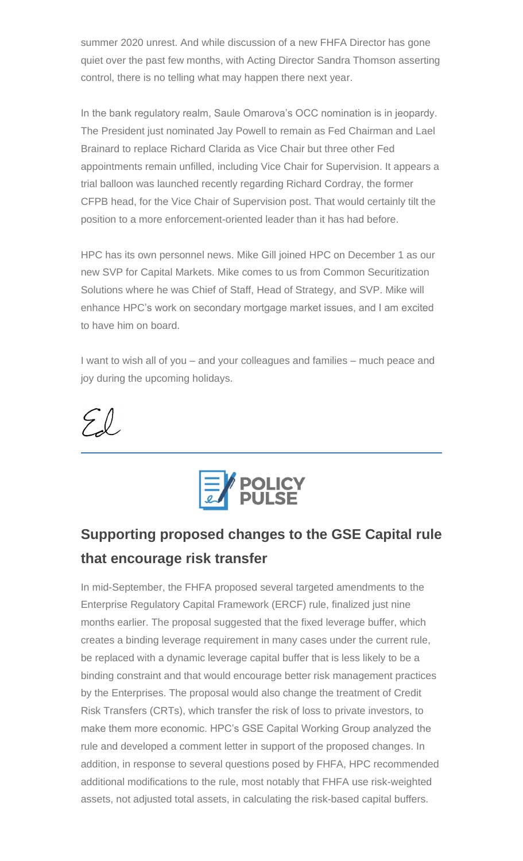summer 2020 unrest. And while discussion of a new FHFA Director has gone quiet over the past few months, with Acting Director Sandra Thomson asserting control, there is no telling what may happen there next year.

In the bank regulatory realm, Saule Omarova's OCC nomination is in jeopardy. The President just nominated Jay Powell to remain as Fed Chairman and Lael Brainard to replace Richard Clarida as Vice Chair but three other Fed appointments remain unfilled, including Vice Chair for Supervision. It appears a trial balloon was launched recently regarding Richard Cordray, the former CFPB head, for the Vice Chair of Supervision post. That would certainly tilt the position to a more enforcement-oriented leader than it has had before.

HPC has its own personnel news. Mike Gill joined HPC on December 1 as our new SVP for Capital Markets. Mike comes to us from Common Securitization Solutions where he was Chief of Staff, Head of Strategy, and SVP. Mike will enhance HPC's work on secondary mortgage market issues, and I am excited to have him on board.

I want to wish all of you – and your colleagues and families – much peace and joy during the upcoming holidays.





# **Supporting proposed changes to the GSE Capital rule that encourage risk transfer**

In mid-September, the FHFA proposed several targeted amendments to the Enterprise Regulatory Capital Framework (ERCF) rule, finalized just nine months earlier. The proposal suggested that the fixed leverage buffer, which creates a binding leverage requirement in many cases under the current rule, be replaced with a dynamic leverage capital buffer that is less likely to be a binding constraint and that would encourage better risk management practices by the Enterprises. The proposal would also change the treatment of Credit Risk Transfers (CRTs), which transfer the risk of loss to private investors, to make them more economic. HPC's GSE Capital Working Group analyzed the rule and developed a comment letter in support of the proposed changes. In addition, in response to several questions posed by FHFA, HPC recommended additional modifications to the rule, most notably that FHFA use risk-weighted assets, not adjusted total assets, in calculating the risk-based capital buffers.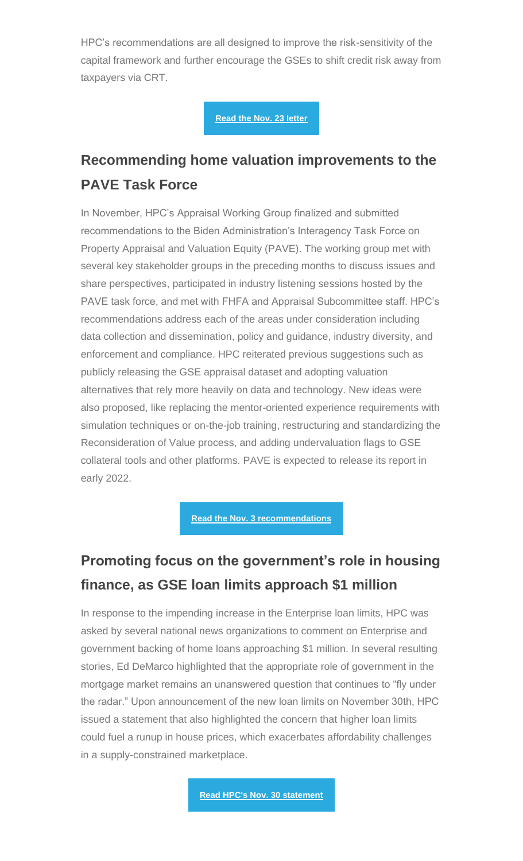HPC's recommendations are all designed to improve the risk-sensitivity of the capital framework and further encourage the GSEs to shift credit risk away from taxpayers via CRT.

**[Read the Nov. 23 letter](https://nam12.safelinks.protection.outlook.com/?url=https%3A%2F%2Fhousingpolicycouncil.us4.list-manage.com%2Ftrack%2Fclick%3Fu%3D5140623077e4523696cc45400%26id%3De1fd90b260%26e%3Dc1f6e13f3b&data=04%7C01%7CChris.Monaco%40housingpolicycouncil.org%7C94ca8f59e0cc4d77a2fd08d9ba4670ab%7Ca05a64bbd6ba4776b9825a9e6644ad76%7C1%7C0%7C637745635026766591%7CUnknown%7CTWFpbGZsb3d8eyJWIjoiMC4wLjAwMDAiLCJQIjoiV2luMzIiLCJBTiI6Ik1haWwiLCJXVCI6Mn0%3D%7C3000&sdata=5q8Z%2BsgVP1XfvSLDDvn%2BO7oBcdDSi3MQNuNiaBYQYgM%3D&reserved=0)**

### **Recommending home valuation improvements to the PAVE Task Force**

In November, HPC's Appraisal Working Group finalized and submitted recommendations to the Biden Administration's Interagency Task Force on Property Appraisal and Valuation Equity (PAVE). The working group met with several key stakeholder groups in the preceding months to discuss issues and share perspectives, participated in industry listening sessions hosted by the PAVE task force, and met with FHFA and Appraisal Subcommittee staff. HPC's recommendations address each of the areas under consideration including data collection and dissemination, policy and guidance, industry diversity, and enforcement and compliance. HPC reiterated previous suggestions such as publicly releasing the GSE appraisal dataset and adopting valuation alternatives that rely more heavily on data and technology. New ideas were also proposed, like replacing the mentor-oriented experience requirements with simulation techniques or on-the-job training, restructuring and standardizing the Reconsideration of Value process, and adding undervaluation flags to GSE collateral tools and other platforms. PAVE is expected to release its report in early 2022.

**[Read the Nov. 3 recommendations](https://nam12.safelinks.protection.outlook.com/?url=https%3A%2F%2Fhousingpolicycouncil.us4.list-manage.com%2Ftrack%2Fclick%3Fu%3D5140623077e4523696cc45400%26id%3D3f6e448cdf%26e%3Dc1f6e13f3b&data=04%7C01%7CChris.Monaco%40housingpolicycouncil.org%7C94ca8f59e0cc4d77a2fd08d9ba4670ab%7Ca05a64bbd6ba4776b9825a9e6644ad76%7C1%7C0%7C637745635026766591%7CUnknown%7CTWFpbGZsb3d8eyJWIjoiMC4wLjAwMDAiLCJQIjoiV2luMzIiLCJBTiI6Ik1haWwiLCJXVCI6Mn0%3D%7C3000&sdata=2CWfxkUVqvaT7W2p7TOFCvqJb18NzY1eju7FK5AQHfk%3D&reserved=0)** 

### **Promoting focus on the government's role in housing finance, as GSE loan limits approach \$1 million**

In response to the impending increase in the Enterprise loan limits, HPC was asked by several national news organizations to comment on Enterprise and government backing of home loans approaching \$1 million. In several resulting stories, Ed DeMarco highlighted that the appropriate role of government in the mortgage market remains an unanswered question that continues to "fly under the radar." Upon announcement of the new loan limits on November 30th, HPC issued a statement that also highlighted the concern that higher loan limits could fuel a runup in house prices, which exacerbates affordability challenges in a supply-constrained marketplace.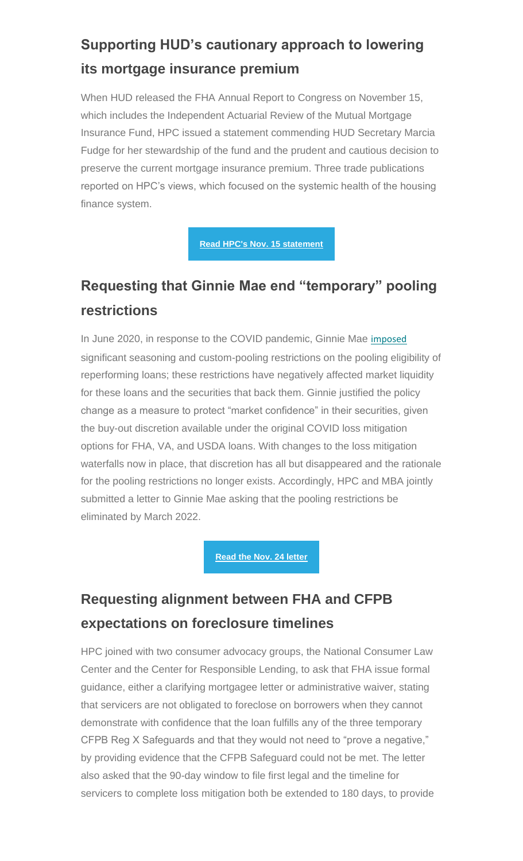# **Supporting HUD's cautionary approach to lowering its mortgage insurance premium**

When HUD released the FHA Annual Report to Congress on November 15, which includes the Independent Actuarial Review of the Mutual Mortgage Insurance Fund, HPC issued a statement commending HUD Secretary Marcia Fudge for her stewardship of the fund and the prudent and cautious decision to preserve the current mortgage insurance premium. Three trade publications reported on HPC's views, which focused on the systemic health of the housing finance system.

**[Read HPC's Nov. 15 statement](https://nam12.safelinks.protection.outlook.com/?url=https%3A%2F%2Fhousingpolicycouncil.us4.list-manage.com%2Ftrack%2Fclick%3Fu%3D5140623077e4523696cc45400%26id%3D04d09c5073%26e%3Dc1f6e13f3b&data=04%7C01%7CChris.Monaco%40housingpolicycouncil.org%7C94ca8f59e0cc4d77a2fd08d9ba4670ab%7Ca05a64bbd6ba4776b9825a9e6644ad76%7C1%7C0%7C637745635026766591%7CUnknown%7CTWFpbGZsb3d8eyJWIjoiMC4wLjAwMDAiLCJQIjoiV2luMzIiLCJBTiI6Ik1haWwiLCJXVCI6Mn0%3D%7C3000&sdata=zRMs3%2BJoSKwnghBKCSJ0XN1bvoQRKDitBeKdg6soqig%3D&reserved=0)**

### **Requesting that Ginnie Mae end "temporary" pooling restrictions**

In June 2020, in response to the COVID pandemic, Ginnie Mae [imposed](https://nam12.safelinks.protection.outlook.com/?url=https%3A%2F%2Fhousingpolicycouncil.us4.list-manage.com%2Ftrack%2Fclick%3Fu%3D5140623077e4523696cc45400%26id%3Dde337e8cc9%26e%3Dc1f6e13f3b&data=04%7C01%7CChris.Monaco%40housingpolicycouncil.org%7C94ca8f59e0cc4d77a2fd08d9ba4670ab%7Ca05a64bbd6ba4776b9825a9e6644ad76%7C1%7C0%7C637745635026766591%7CUnknown%7CTWFpbGZsb3d8eyJWIjoiMC4wLjAwMDAiLCJQIjoiV2luMzIiLCJBTiI6Ik1haWwiLCJXVCI6Mn0%3D%7C3000&sdata=u0ljdAwy4ZUX3HmFgAT%2BLFjSHwwSuVc4kY93m3xfjjg%3D&reserved=0) significant seasoning and custom-pooling restrictions on the pooling eligibility of reperforming loans; these restrictions have negatively affected market liquidity for these loans and the securities that back them. Ginnie justified the policy change as a measure to protect "market confidence" in their securities, given the buy-out discretion available under the original COVID loss mitigation options for FHA, VA, and USDA loans. With changes to the loss mitigation waterfalls now in place, that discretion has all but disappeared and the rationale for the pooling restrictions no longer exists. Accordingly, HPC and MBA jointly submitted a letter to Ginnie Mae asking that the pooling restrictions be eliminated by March 2022.

#### **[Read the Nov. 24 letter](https://nam12.safelinks.protection.outlook.com/?url=https%3A%2F%2Fhousingpolicycouncil.us4.list-manage.com%2Ftrack%2Fclick%3Fu%3D5140623077e4523696cc45400%26id%3D10ecc4941a%26e%3Dc1f6e13f3b&data=04%7C01%7CChris.Monaco%40housingpolicycouncil.org%7C94ca8f59e0cc4d77a2fd08d9ba4670ab%7Ca05a64bbd6ba4776b9825a9e6644ad76%7C1%7C0%7C637745635026766591%7CUnknown%7CTWFpbGZsb3d8eyJWIjoiMC4wLjAwMDAiLCJQIjoiV2luMzIiLCJBTiI6Ik1haWwiLCJXVCI6Mn0%3D%7C3000&sdata=ylhAadLWBfSVYc8kvQzaWKao4NZ1MliGNfK9rFjtMg8%3D&reserved=0)**

### **Requesting alignment between FHA and CFPB expectations on foreclosure timelines**

HPC joined with two consumer advocacy groups, the National Consumer Law Center and the Center for Responsible Lending, to ask that FHA issue formal guidance, either a clarifying mortgagee letter or administrative waiver, stating that servicers are not obligated to foreclose on borrowers when they cannot demonstrate with confidence that the loan fulfills any of the three temporary CFPB Reg X Safeguards and that they would not need to "prove a negative," by providing evidence that the CFPB Safeguard could not be met. The letter also asked that the 90-day window to file first legal and the timeline for servicers to complete loss mitigation both be extended to 180 days, to provide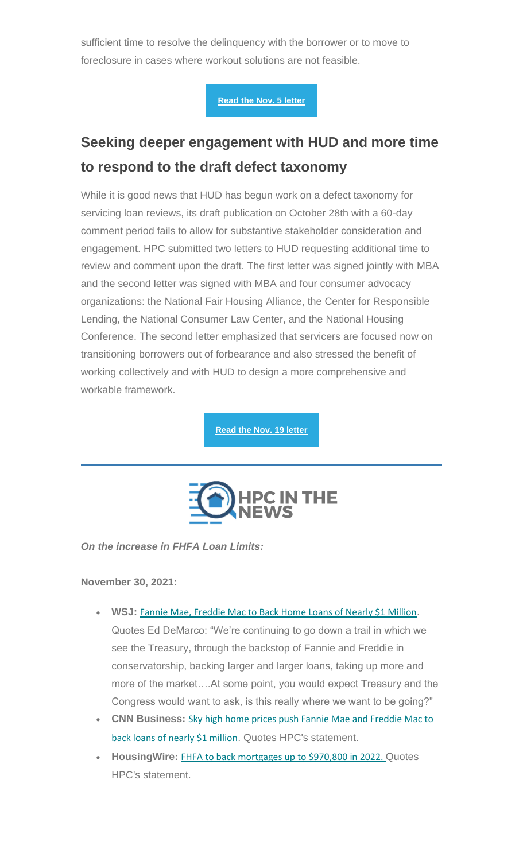sufficient time to resolve the delinquency with the borrower or to move to foreclosure in cases where workout solutions are not feasible.

**[Read the Nov. 5 letter](https://nam12.safelinks.protection.outlook.com/?url=https%3A%2F%2Fhousingpolicycouncil.us4.list-manage.com%2Ftrack%2Fclick%3Fu%3D5140623077e4523696cc45400%26id%3D5d97f9f3d9%26e%3Dc1f6e13f3b&data=04%7C01%7CChris.Monaco%40housingpolicycouncil.org%7C94ca8f59e0cc4d77a2fd08d9ba4670ab%7Ca05a64bbd6ba4776b9825a9e6644ad76%7C1%7C0%7C637745635026766591%7CUnknown%7CTWFpbGZsb3d8eyJWIjoiMC4wLjAwMDAiLCJQIjoiV2luMzIiLCJBTiI6Ik1haWwiLCJXVCI6Mn0%3D%7C3000&sdata=y5Ay3%2FlWHFAnjsfYAWD%2FtkKZYSZlgz3cD3Lc%2BvqtQR8%3D&reserved=0)** 

### **Seeking deeper engagement with HUD and more time to respond to the draft defect taxonomy**

While it is good news that HUD has begun work on a defect taxonomy for servicing loan reviews, its draft publication on October 28th with a 60-day comment period fails to allow for substantive stakeholder consideration and engagement. HPC submitted two letters to HUD requesting additional time to review and comment upon the draft. The first letter was signed jointly with MBA and the second letter was signed with MBA and four consumer advocacy organizations: the National Fair Housing Alliance, the Center for Responsible Lending, the National Consumer Law Center, and the National Housing Conference. The second letter emphasized that servicers are focused now on transitioning borrowers out of forbearance and also stressed the benefit of working collectively and with HUD to design a more comprehensive and workable framework.

**[Read the Nov. 19 letter](https://nam12.safelinks.protection.outlook.com/?url=https%3A%2F%2Fhousingpolicycouncil.us4.list-manage.com%2Ftrack%2Fclick%3Fu%3D5140623077e4523696cc45400%26id%3D46162cdf26%26e%3Dc1f6e13f3b&data=04%7C01%7CChris.Monaco%40housingpolicycouncil.org%7C94ca8f59e0cc4d77a2fd08d9ba4670ab%7Ca05a64bbd6ba4776b9825a9e6644ad76%7C1%7C0%7C637745635026766591%7CUnknown%7CTWFpbGZsb3d8eyJWIjoiMC4wLjAwMDAiLCJQIjoiV2luMzIiLCJBTiI6Ik1haWwiLCJXVCI6Mn0%3D%7C3000&sdata=jkFvhJJ6r977KE5wuoCdqx7fbB%2BRxcWK%2BrtKNQpt7Oc%3D&reserved=0)** 



*On the increase in FHFA Loan Limits:*

**November 30, 2021:**

- **WSJ:** [Fannie Mae, Freddie Mac to Back Home Loans of Nearly \\$1 Million](https://nam12.safelinks.protection.outlook.com/?url=https%3A%2F%2Fhousingpolicycouncil.us4.list-manage.com%2Ftrack%2Fclick%3Fu%3D5140623077e4523696cc45400%26id%3Dbd8e04eb27%26e%3Dc1f6e13f3b&data=04%7C01%7CChris.Monaco%40housingpolicycouncil.org%7C94ca8f59e0cc4d77a2fd08d9ba4670ab%7Ca05a64bbd6ba4776b9825a9e6644ad76%7C1%7C0%7C637745635026766591%7CUnknown%7CTWFpbGZsb3d8eyJWIjoiMC4wLjAwMDAiLCJQIjoiV2luMzIiLCJBTiI6Ik1haWwiLCJXVCI6Mn0%3D%7C3000&sdata=AXOFgdWQAZxxvjpkjPPmCKGsl09dmqvMcG1N%2BgJ0IiA%3D&reserved=0).
	- Quotes Ed DeMarco: "We're continuing to go down a trail in which we see the Treasury, through the backstop of Fannie and Freddie in conservatorship, backing larger and larger loans, taking up more and more of the market….At some point, you would expect Treasury and the Congress would want to ask, is this really where we want to be going?"
- **CNN Business:** [Sky high home prices push Fannie Mae and Freddie Mac to](https://nam12.safelinks.protection.outlook.com/?url=https%3A%2F%2Fhousingpolicycouncil.us4.list-manage.com%2Ftrack%2Fclick%3Fu%3D5140623077e4523696cc45400%26id%3D98e41d9fd2%26e%3Dc1f6e13f3b&data=04%7C01%7CChris.Monaco%40housingpolicycouncil.org%7C94ca8f59e0cc4d77a2fd08d9ba4670ab%7Ca05a64bbd6ba4776b9825a9e6644ad76%7C1%7C0%7C637745635026766591%7CUnknown%7CTWFpbGZsb3d8eyJWIjoiMC4wLjAwMDAiLCJQIjoiV2luMzIiLCJBTiI6Ik1haWwiLCJXVCI6Mn0%3D%7C3000&sdata=HWIqkG9Aj16SBx8r8T%2F30ovqNl9Iq8n33M7qRVwbu9w%3D&reserved=0)  [back loans of nearly \\$1 million](https://nam12.safelinks.protection.outlook.com/?url=https%3A%2F%2Fhousingpolicycouncil.us4.list-manage.com%2Ftrack%2Fclick%3Fu%3D5140623077e4523696cc45400%26id%3D98e41d9fd2%26e%3Dc1f6e13f3b&data=04%7C01%7CChris.Monaco%40housingpolicycouncil.org%7C94ca8f59e0cc4d77a2fd08d9ba4670ab%7Ca05a64bbd6ba4776b9825a9e6644ad76%7C1%7C0%7C637745635026766591%7CUnknown%7CTWFpbGZsb3d8eyJWIjoiMC4wLjAwMDAiLCJQIjoiV2luMzIiLCJBTiI6Ik1haWwiLCJXVCI6Mn0%3D%7C3000&sdata=HWIqkG9Aj16SBx8r8T%2F30ovqNl9Iq8n33M7qRVwbu9w%3D&reserved=0). Quotes HPC's statement.
- **HousingWire:** [FHFA to back mortgages up to \\$970,800 in 2022.](https://nam12.safelinks.protection.outlook.com/?url=https%3A%2F%2Fhousingpolicycouncil.us4.list-manage.com%2Ftrack%2Fclick%3Fu%3D5140623077e4523696cc45400%26id%3Df988358038%26e%3Dc1f6e13f3b&data=04%7C01%7CChris.Monaco%40housingpolicycouncil.org%7C94ca8f59e0cc4d77a2fd08d9ba4670ab%7Ca05a64bbd6ba4776b9825a9e6644ad76%7C1%7C0%7C637745635026766591%7CUnknown%7CTWFpbGZsb3d8eyJWIjoiMC4wLjAwMDAiLCJQIjoiV2luMzIiLCJBTiI6Ik1haWwiLCJXVCI6Mn0%3D%7C3000&sdata=xdfRTXOVytTSpYPDALh%2FliKTlp0hK6xSLnEpj9FamLQ%3D&reserved=0) Quotes HPC's statement.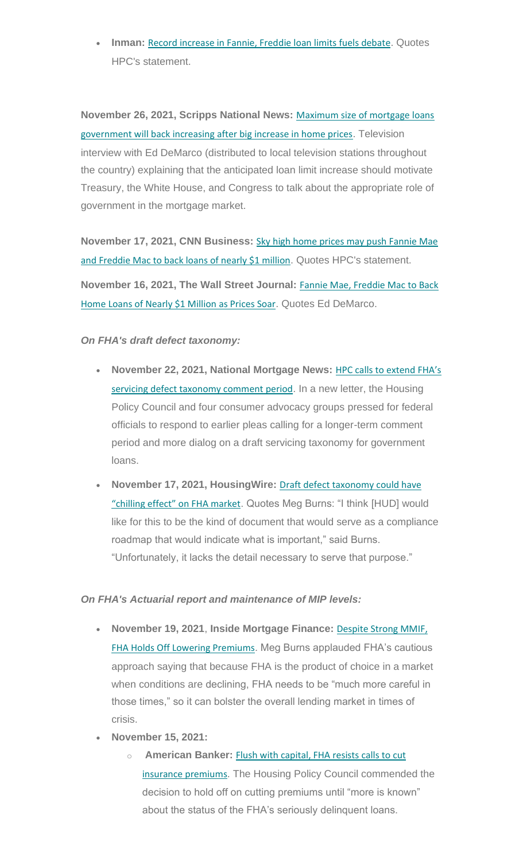• **Inman:** [Record increase in Fannie, Freddie loan limits fuels debate](https://nam12.safelinks.protection.outlook.com/?url=https%3A%2F%2Fhousingpolicycouncil.us4.list-manage.com%2Ftrack%2Fclick%3Fu%3D5140623077e4523696cc45400%26id%3D053ddf92d4%26e%3Dc1f6e13f3b&data=04%7C01%7CChris.Monaco%40housingpolicycouncil.org%7C94ca8f59e0cc4d77a2fd08d9ba4670ab%7Ca05a64bbd6ba4776b9825a9e6644ad76%7C1%7C0%7C637745635026766591%7CUnknown%7CTWFpbGZsb3d8eyJWIjoiMC4wLjAwMDAiLCJQIjoiV2luMzIiLCJBTiI6Ik1haWwiLCJXVCI6Mn0%3D%7C3000&sdata=CGso7ce5MjvVS3II9x6AoLgODrg6iSXwCjO%2BQFuZ4mQ%3D&reserved=0). Quotes HPC's statement.

**November 26, 2021, Scripps National News:** [Maximum size of mortgage loans](https://nam12.safelinks.protection.outlook.com/?url=https%3A%2F%2Fhousingpolicycouncil.us4.list-manage.com%2Ftrack%2Fclick%3Fu%3D5140623077e4523696cc45400%26id%3D2a6612f65b%26e%3Dc1f6e13f3b&data=04%7C01%7CChris.Monaco%40housingpolicycouncil.org%7C94ca8f59e0cc4d77a2fd08d9ba4670ab%7Ca05a64bbd6ba4776b9825a9e6644ad76%7C1%7C0%7C637745635026766591%7CUnknown%7CTWFpbGZsb3d8eyJWIjoiMC4wLjAwMDAiLCJQIjoiV2luMzIiLCJBTiI6Ik1haWwiLCJXVCI6Mn0%3D%7C3000&sdata=489KVOXEsD%2BxbwbILr8tWLAnzX5FthLgDLObBx%2Fe7nI%3D&reserved=0)  [government will back increasing after big increase in home prices](https://nam12.safelinks.protection.outlook.com/?url=https%3A%2F%2Fhousingpolicycouncil.us4.list-manage.com%2Ftrack%2Fclick%3Fu%3D5140623077e4523696cc45400%26id%3D2a6612f65b%26e%3Dc1f6e13f3b&data=04%7C01%7CChris.Monaco%40housingpolicycouncil.org%7C94ca8f59e0cc4d77a2fd08d9ba4670ab%7Ca05a64bbd6ba4776b9825a9e6644ad76%7C1%7C0%7C637745635026766591%7CUnknown%7CTWFpbGZsb3d8eyJWIjoiMC4wLjAwMDAiLCJQIjoiV2luMzIiLCJBTiI6Ik1haWwiLCJXVCI6Mn0%3D%7C3000&sdata=489KVOXEsD%2BxbwbILr8tWLAnzX5FthLgDLObBx%2Fe7nI%3D&reserved=0). Television interview with Ed DeMarco (distributed to local television stations throughout the country) explaining that the anticipated loan limit increase should motivate Treasury, the White House, and Congress to talk about the appropriate role of government in the mortgage market.

**November 17, 2021, CNN Business:** [Sky high home prices may push Fannie Mae](https://nam12.safelinks.protection.outlook.com/?url=https%3A%2F%2Fhousingpolicycouncil.us4.list-manage.com%2Ftrack%2Fclick%3Fu%3D5140623077e4523696cc45400%26id%3De3b2210755%26e%3Dc1f6e13f3b&data=04%7C01%7CChris.Monaco%40housingpolicycouncil.org%7C94ca8f59e0cc4d77a2fd08d9ba4670ab%7Ca05a64bbd6ba4776b9825a9e6644ad76%7C1%7C0%7C637745635026766591%7CUnknown%7CTWFpbGZsb3d8eyJWIjoiMC4wLjAwMDAiLCJQIjoiV2luMzIiLCJBTiI6Ik1haWwiLCJXVCI6Mn0%3D%7C3000&sdata=wj3%2Byld6Zne4vPL1tlaBrgDSpdQSmuyir8DTpNZ%2FSN0%3D&reserved=0)  [and Freddie Mac to back loans of nearly \\$1 million](https://nam12.safelinks.protection.outlook.com/?url=https%3A%2F%2Fhousingpolicycouncil.us4.list-manage.com%2Ftrack%2Fclick%3Fu%3D5140623077e4523696cc45400%26id%3De3b2210755%26e%3Dc1f6e13f3b&data=04%7C01%7CChris.Monaco%40housingpolicycouncil.org%7C94ca8f59e0cc4d77a2fd08d9ba4670ab%7Ca05a64bbd6ba4776b9825a9e6644ad76%7C1%7C0%7C637745635026766591%7CUnknown%7CTWFpbGZsb3d8eyJWIjoiMC4wLjAwMDAiLCJQIjoiV2luMzIiLCJBTiI6Ik1haWwiLCJXVCI6Mn0%3D%7C3000&sdata=wj3%2Byld6Zne4vPL1tlaBrgDSpdQSmuyir8DTpNZ%2FSN0%3D&reserved=0). Quotes HPC's statement.

**November 16, 2021, The Wall Street Journal:** [Fannie Mae, Freddie Mac to Back](https://nam12.safelinks.protection.outlook.com/?url=https%3A%2F%2Fhousingpolicycouncil.us4.list-manage.com%2Ftrack%2Fclick%3Fu%3D5140623077e4523696cc45400%26id%3Db6d1a666ad%26e%3Dc1f6e13f3b&data=04%7C01%7CChris.Monaco%40housingpolicycouncil.org%7C94ca8f59e0cc4d77a2fd08d9ba4670ab%7Ca05a64bbd6ba4776b9825a9e6644ad76%7C1%7C0%7C637745635026766591%7CUnknown%7CTWFpbGZsb3d8eyJWIjoiMC4wLjAwMDAiLCJQIjoiV2luMzIiLCJBTiI6Ik1haWwiLCJXVCI6Mn0%3D%7C3000&sdata=kbZ7N5mCy%2FKi7RjL7B1%2FhcnXLCaF8En89FLHyvHjWF4%3D&reserved=0)  [Home Loans of Nearly \\$1 Million as Prices Soar](https://nam12.safelinks.protection.outlook.com/?url=https%3A%2F%2Fhousingpolicycouncil.us4.list-manage.com%2Ftrack%2Fclick%3Fu%3D5140623077e4523696cc45400%26id%3Db6d1a666ad%26e%3Dc1f6e13f3b&data=04%7C01%7CChris.Monaco%40housingpolicycouncil.org%7C94ca8f59e0cc4d77a2fd08d9ba4670ab%7Ca05a64bbd6ba4776b9825a9e6644ad76%7C1%7C0%7C637745635026766591%7CUnknown%7CTWFpbGZsb3d8eyJWIjoiMC4wLjAwMDAiLCJQIjoiV2luMzIiLCJBTiI6Ik1haWwiLCJXVCI6Mn0%3D%7C3000&sdata=kbZ7N5mCy%2FKi7RjL7B1%2FhcnXLCaF8En89FLHyvHjWF4%3D&reserved=0). Quotes Ed DeMarco.

#### *On FHA's draft defect taxonomy:*

- **November 22, 2021, National Mortgage News:** HPC calls to [extend FHA's](https://nam12.safelinks.protection.outlook.com/?url=https%3A%2F%2Fhousingpolicycouncil.us4.list-manage.com%2Ftrack%2Fclick%3Fu%3D5140623077e4523696cc45400%26id%3Dfa615344f7%26e%3Dc1f6e13f3b&data=04%7C01%7CChris.Monaco%40housingpolicycouncil.org%7C94ca8f59e0cc4d77a2fd08d9ba4670ab%7Ca05a64bbd6ba4776b9825a9e6644ad76%7C1%7C0%7C637745635026766591%7CUnknown%7CTWFpbGZsb3d8eyJWIjoiMC4wLjAwMDAiLCJQIjoiV2luMzIiLCJBTiI6Ik1haWwiLCJXVCI6Mn0%3D%7C3000&sdata=FBoNJtpfbREARZtSEMZvQKQMZNiayCaeVfjh26Ttjgg%3D&reserved=0)  [servicing defect taxonomy comment period](https://nam12.safelinks.protection.outlook.com/?url=https%3A%2F%2Fhousingpolicycouncil.us4.list-manage.com%2Ftrack%2Fclick%3Fu%3D5140623077e4523696cc45400%26id%3Dfa615344f7%26e%3Dc1f6e13f3b&data=04%7C01%7CChris.Monaco%40housingpolicycouncil.org%7C94ca8f59e0cc4d77a2fd08d9ba4670ab%7Ca05a64bbd6ba4776b9825a9e6644ad76%7C1%7C0%7C637745635026766591%7CUnknown%7CTWFpbGZsb3d8eyJWIjoiMC4wLjAwMDAiLCJQIjoiV2luMzIiLCJBTiI6Ik1haWwiLCJXVCI6Mn0%3D%7C3000&sdata=FBoNJtpfbREARZtSEMZvQKQMZNiayCaeVfjh26Ttjgg%3D&reserved=0). In a new letter, the Housing Policy Council and four consumer advocacy groups pressed for federal officials to respond to earlier pleas calling for a longer-term comment period and more dialog on a draft servicing taxonomy for government loans.
- **November 17, 2021, HousingWire:** [Draft defect taxonomy could have](https://nam12.safelinks.protection.outlook.com/?url=https%3A%2F%2Fhousingpolicycouncil.us4.list-manage.com%2Ftrack%2Fclick%3Fu%3D5140623077e4523696cc45400%26id%3De7b78bcbb2%26e%3Dc1f6e13f3b&data=04%7C01%7CChris.Monaco%40housingpolicycouncil.org%7C94ca8f59e0cc4d77a2fd08d9ba4670ab%7Ca05a64bbd6ba4776b9825a9e6644ad76%7C1%7C0%7C637745635026766591%7CUnknown%7CTWFpbGZsb3d8eyJWIjoiMC4wLjAwMDAiLCJQIjoiV2luMzIiLCJBTiI6Ik1haWwiLCJXVCI6Mn0%3D%7C3000&sdata=L7DdhezNRsX5TRVKJMQA7Rqd1Jbcm6EGNrJUqKFH314%3D&reserved=0)  ["chilling effect" on FHA market](https://nam12.safelinks.protection.outlook.com/?url=https%3A%2F%2Fhousingpolicycouncil.us4.list-manage.com%2Ftrack%2Fclick%3Fu%3D5140623077e4523696cc45400%26id%3De7b78bcbb2%26e%3Dc1f6e13f3b&data=04%7C01%7CChris.Monaco%40housingpolicycouncil.org%7C94ca8f59e0cc4d77a2fd08d9ba4670ab%7Ca05a64bbd6ba4776b9825a9e6644ad76%7C1%7C0%7C637745635026766591%7CUnknown%7CTWFpbGZsb3d8eyJWIjoiMC4wLjAwMDAiLCJQIjoiV2luMzIiLCJBTiI6Ik1haWwiLCJXVCI6Mn0%3D%7C3000&sdata=L7DdhezNRsX5TRVKJMQA7Rqd1Jbcm6EGNrJUqKFH314%3D&reserved=0). Quotes Meg Burns: "I think [HUD] would like for this to be the kind of document that would serve as a compliance roadmap that would indicate what is important," said Burns. "Unfortunately, it lacks the detail necessary to serve that purpose."

#### *On FHA's Actuarial report and maintenance of MIP levels:*

- **November 19, 2021**, **Inside Mortgage Finance:** [Despite Strong MMIF,](https://nam12.safelinks.protection.outlook.com/?url=https%3A%2F%2Fhousingpolicycouncil.us4.list-manage.com%2Ftrack%2Fclick%3Fu%3D5140623077e4523696cc45400%26id%3D277818c13e%26e%3Dc1f6e13f3b&data=04%7C01%7CChris.Monaco%40housingpolicycouncil.org%7C94ca8f59e0cc4d77a2fd08d9ba4670ab%7Ca05a64bbd6ba4776b9825a9e6644ad76%7C1%7C0%7C637745635026766591%7CUnknown%7CTWFpbGZsb3d8eyJWIjoiMC4wLjAwMDAiLCJQIjoiV2luMzIiLCJBTiI6Ik1haWwiLCJXVCI6Mn0%3D%7C3000&sdata=UFnWqFzbqHKJntBEAfEpg5ZXSyIrEBo05aVCqJ%2BsC%2Fg%3D&reserved=0)  [FHA Holds Off Lowering Premiums](https://nam12.safelinks.protection.outlook.com/?url=https%3A%2F%2Fhousingpolicycouncil.us4.list-manage.com%2Ftrack%2Fclick%3Fu%3D5140623077e4523696cc45400%26id%3D277818c13e%26e%3Dc1f6e13f3b&data=04%7C01%7CChris.Monaco%40housingpolicycouncil.org%7C94ca8f59e0cc4d77a2fd08d9ba4670ab%7Ca05a64bbd6ba4776b9825a9e6644ad76%7C1%7C0%7C637745635026766591%7CUnknown%7CTWFpbGZsb3d8eyJWIjoiMC4wLjAwMDAiLCJQIjoiV2luMzIiLCJBTiI6Ik1haWwiLCJXVCI6Mn0%3D%7C3000&sdata=UFnWqFzbqHKJntBEAfEpg5ZXSyIrEBo05aVCqJ%2BsC%2Fg%3D&reserved=0). Meg Burns applauded FHA's cautious approach saying that because FHA is the product of choice in a market when conditions are declining, FHA needs to be "much more careful in those times," so it can bolster the overall lending market in times of crisis.
- **November 15, 2021:**
	- o **American Banker:** [Flush with capital, FHA resists calls to cut](https://nam12.safelinks.protection.outlook.com/?url=https%3A%2F%2Fhousingpolicycouncil.us4.list-manage.com%2Ftrack%2Fclick%3Fu%3D5140623077e4523696cc45400%26id%3D4581a2c7cf%26e%3Dc1f6e13f3b&data=04%7C01%7CChris.Monaco%40housingpolicycouncil.org%7C94ca8f59e0cc4d77a2fd08d9ba4670ab%7Ca05a64bbd6ba4776b9825a9e6644ad76%7C1%7C0%7C637745635026922894%7CUnknown%7CTWFpbGZsb3d8eyJWIjoiMC4wLjAwMDAiLCJQIjoiV2luMzIiLCJBTiI6Ik1haWwiLCJXVCI6Mn0%3D%7C3000&sdata=1EHYpZNPkVj7fcNA7nFVRuquxKCvDAFj1J6%2BScZcpEE%3D&reserved=0)  [insurance premiums](https://nam12.safelinks.protection.outlook.com/?url=https%3A%2F%2Fhousingpolicycouncil.us4.list-manage.com%2Ftrack%2Fclick%3Fu%3D5140623077e4523696cc45400%26id%3D4581a2c7cf%26e%3Dc1f6e13f3b&data=04%7C01%7CChris.Monaco%40housingpolicycouncil.org%7C94ca8f59e0cc4d77a2fd08d9ba4670ab%7Ca05a64bbd6ba4776b9825a9e6644ad76%7C1%7C0%7C637745635026922894%7CUnknown%7CTWFpbGZsb3d8eyJWIjoiMC4wLjAwMDAiLCJQIjoiV2luMzIiLCJBTiI6Ik1haWwiLCJXVCI6Mn0%3D%7C3000&sdata=1EHYpZNPkVj7fcNA7nFVRuquxKCvDAFj1J6%2BScZcpEE%3D&reserved=0). The Housing Policy Council commended the decision to hold off on cutting premiums until "more is known" about the status of the FHA's seriously delinquent loans.